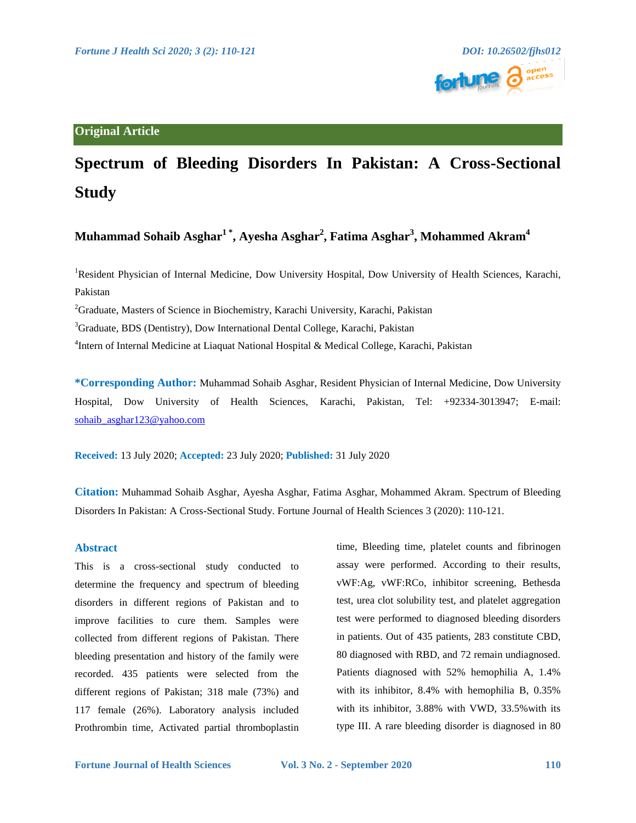## **Original Article**

# **Spectrum of Bleeding Disorders In Pakistan: A Cross-Sectional Study**

## **Muhammad Sohaib Asghar1 \*, Ayesha Asghar<sup>2</sup> , Fatima Asghar<sup>3</sup> , Mohammed Akram<sup>4</sup>**

<sup>1</sup>Resident Physician of Internal Medicine, Dow University Hospital, Dow University of Health Sciences, Karachi, Pakistan

<sup>2</sup>Graduate, Masters of Science in Biochemistry, Karachi University, Karachi, Pakistan

<sup>3</sup>Graduate, BDS (Dentistry), Dow International Dental College, Karachi, Pakistan

<sup>4</sup>Intern of Internal Medicine at Liaquat National Hospital & Medical College, Karachi, Pakistan

**\*Corresponding Author:** Muhammad Sohaib Asghar, Resident Physician of Internal Medicine, Dow University Hospital, Dow University of Health Sciences, Karachi, Pakistan, Tel: +92334-3013947; E-mail: [sohaib\\_asghar123@yahoo.com](mailto:sohaibasghar123@yahoo.com)

**Received:** 13 July 2020; **Accepted:** 23 July 2020; **Published:** 31 July 2020

**Citation:** Muhammad Sohaib Asghar, Ayesha Asghar, Fatima Asghar, Mohammed Akram. Spectrum of Bleeding Disorders In Pakistan: A Cross-Sectional Study. Fortune Journal of Health Sciences 3 (2020): 110-121.

### **Abstract**

This is a cross-sectional study conducted to determine the frequency and spectrum of bleeding disorders in different regions of Pakistan and to improve facilities to cure them. Samples were collected from different regions of Pakistan. There bleeding presentation and history of the family were recorded. 435 patients were selected from the different regions of Pakistan; 318 male (73%) and 117 female (26%). Laboratory analysis included Prothrombin time, Activated partial thromboplastin time, Bleeding time, platelet counts and fibrinogen assay were performed. According to their results, vWF:Ag, vWF:RCo, inhibitor screening, Bethesda test, urea clot solubility test, and platelet aggregation test were performed to diagnosed bleeding disorders in patients. Out of 435 patients, 283 constitute CBD, 80 diagnosed with RBD, and 72 remain undiagnosed. Patients diagnosed with 52% hemophilia A, 1.4% with its inhibitor, 8.4% with hemophilia B, 0.35% with its inhibitor, 3.88% with VWD, 33.5% with its type III. A rare bleeding disorder is diagnosed in 80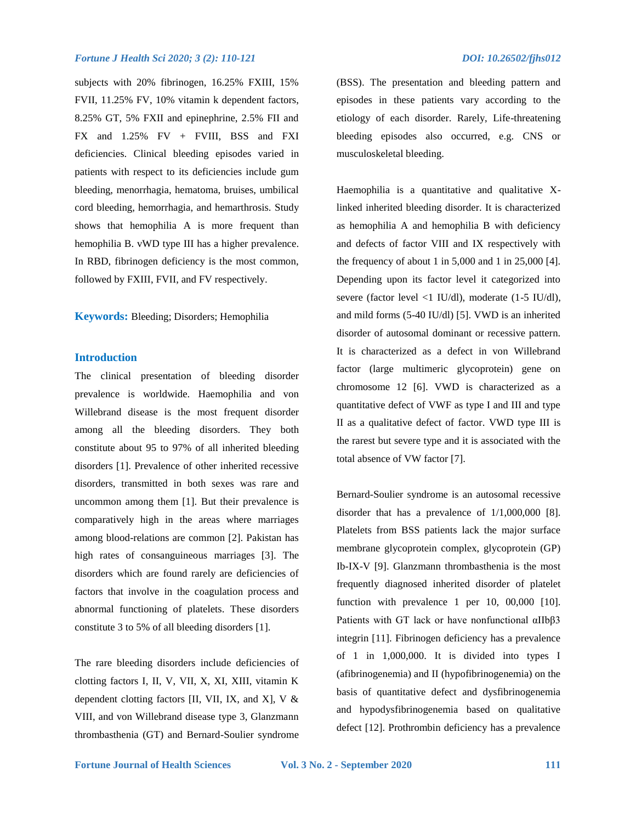subjects with 20% fibrinogen, 16.25% FXIII, 15% FVII, 11.25% FV, 10% vitamin k dependent factors, 8.25% GT, 5% FXII and epinephrine, 2.5% FII and FX and 1.25% FV + FVIII, BSS and FXI deficiencies. Clinical bleeding episodes varied in patients with respect to its deficiencies include gum bleeding, menorrhagia, hematoma, bruises, umbilical cord bleeding, hemorrhagia, and hemarthrosis. Study shows that hemophilia A is more frequent than hemophilia B. vWD type III has a higher prevalence. In RBD, fibrinogen deficiency is the most common, followed by FXIII, FVII, and FV respectively.

**Keywords:** Bleeding; Disorders; Hemophilia

### **Introduction**

The clinical presentation of bleeding disorder prevalence is worldwide. Haemophilia and von Willebrand disease is the most frequent disorder among all the bleeding disorders. They both constitute about 95 to 97% of all inherited bleeding disorders [1]. Prevalence of other inherited recessive disorders, transmitted in both sexes was rare and uncommon among them [1]. But their prevalence is comparatively high in the areas where marriages among blood-relations are common [2]. Pakistan has high rates of consanguineous marriages [3]. The disorders which are found rarely are deficiencies of factors that involve in the coagulation process and abnormal functioning of platelets. These disorders constitute 3 to 5% of all bleeding disorders [1].

The rare bleeding disorders include deficiencies of clotting factors I, II, V, VII, X, XI, XIII, vitamin K dependent clotting factors [II, VII, IX, and X],  $V \&$ VIII, and von Willebrand disease type 3, Glanzmann thrombasthenia (GT) and Bernard-Soulier syndrome

(BSS). The presentation and bleeding pattern and episodes in these patients vary according to the etiology of each disorder. Rarely, Life-threatening bleeding episodes also occurred, e.g. CNS or musculoskeletal bleeding.

Haemophilia is a quantitative and qualitative Xlinked inherited bleeding disorder. It is characterized as hemophilia A and hemophilia B with deficiency and defects of factor VIII and IX respectively with the frequency of about 1 in 5,000 and 1 in 25,000 [4]. Depending upon its factor level it categorized into severe (factor level <1 IU/dl), moderate (1-5 IU/dl), and mild forms (5-40 IU/dl) [5]. VWD is an inherited disorder of autosomal dominant or recessive pattern. It is characterized as a defect in von Willebrand factor (large multimeric glycoprotein) gene on chromosome 12 [6]. VWD is characterized as a quantitative defect of VWF as type I and III and type II as a qualitative defect of factor. VWD type III is the rarest but severe type and it is associated with the total absence of VW factor [7].

Bernard-Soulier syndrome is an autosomal recessive disorder that has a prevalence of 1/1,000,000 [8]. Platelets from BSS patients lack the major surface membrane glycoprotein complex, glycoprotein (GP) Ib-IX-V [9]. Glanzmann thrombasthenia is the most frequently diagnosed inherited disorder of platelet function with prevalence 1 per 10, 00,000 [10]. Patients with GT lack or have nonfunctional αIIbβ3 integrin [11]. Fibrinogen deficiency has a prevalence of 1 in 1,000,000. It is divided into types I (afibrinogenemia) and II (hypofibrinogenemia) on the basis of quantitative defect and dysfibrinogenemia and hypodysfibrinogenemia based on qualitative defect [12]. Prothrombin deficiency has a prevalence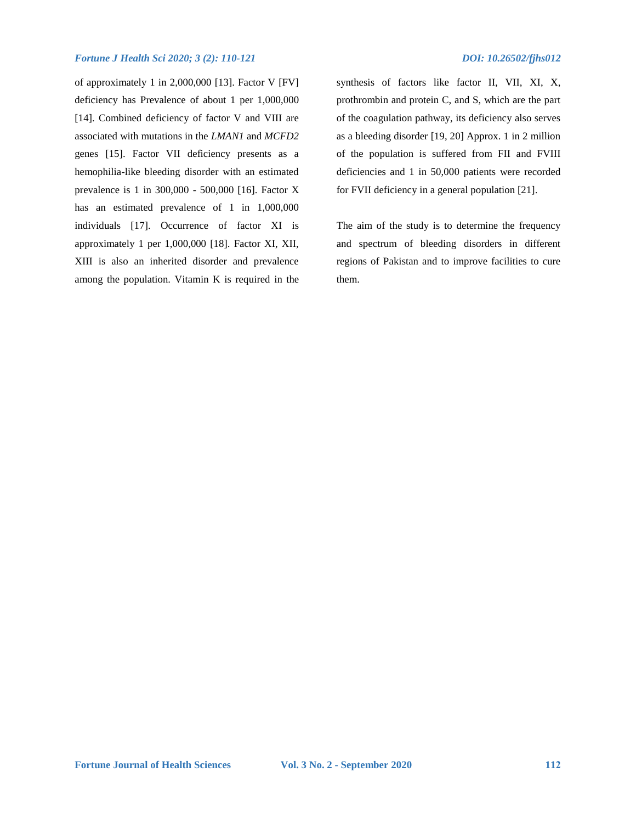## *Fortune J Health Sci 2020; 3 (2): 110-121 DOI: 10.26502/fjhs012*

of approximately 1 in 2,000,000 [13]. Factor V [FV] deficiency has Prevalence of about 1 per 1,000,000 [14]. Combined deficiency of factor V and VIII are associated with mutations in the *LMAN1* and *MCFD2*  genes [15]. Factor VII deficiency presents as a hemophilia-like bleeding disorder with an estimated prevalence is 1 in 300,000 - 500,000 [16]. Factor X has an estimated prevalence of 1 in 1,000,000 individuals [17]. Occurrence of factor XI is approximately 1 per 1,000,000 [18]. Factor XI, XII, XIII is also an inherited disorder and prevalence among the population. Vitamin K is required in the

synthesis of factors like factor II, VII, XI, X, prothrombin and protein C, and S, which are the part of the coagulation pathway, its deficiency also serves as a bleeding disorder [19, 20] Approx. 1 in 2 million of the population is suffered from FII and FVIII deficiencies and 1 in 50,000 patients were recorded for FVII deficiency in a general population [21].

The aim of the study is to determine the frequency and spectrum of bleeding disorders in different regions of Pakistan and to improve facilities to cure them.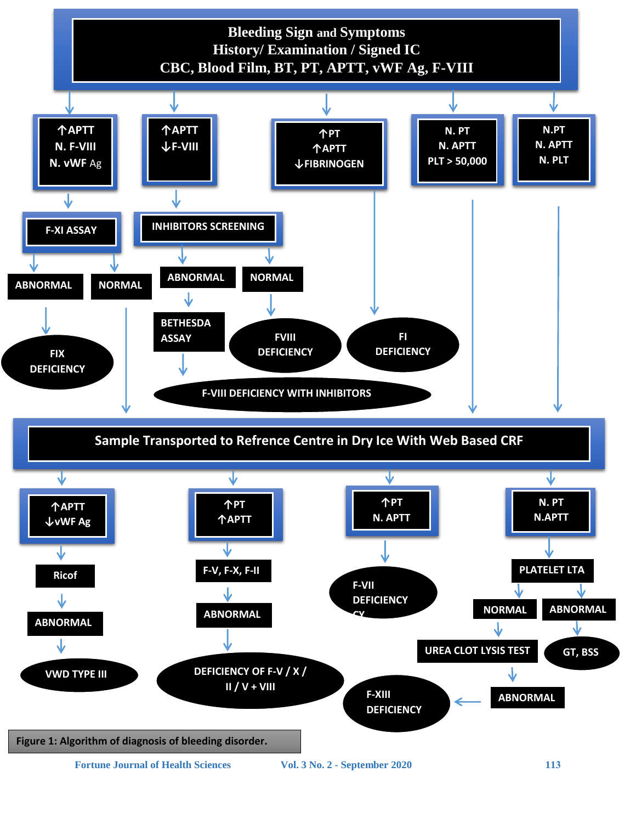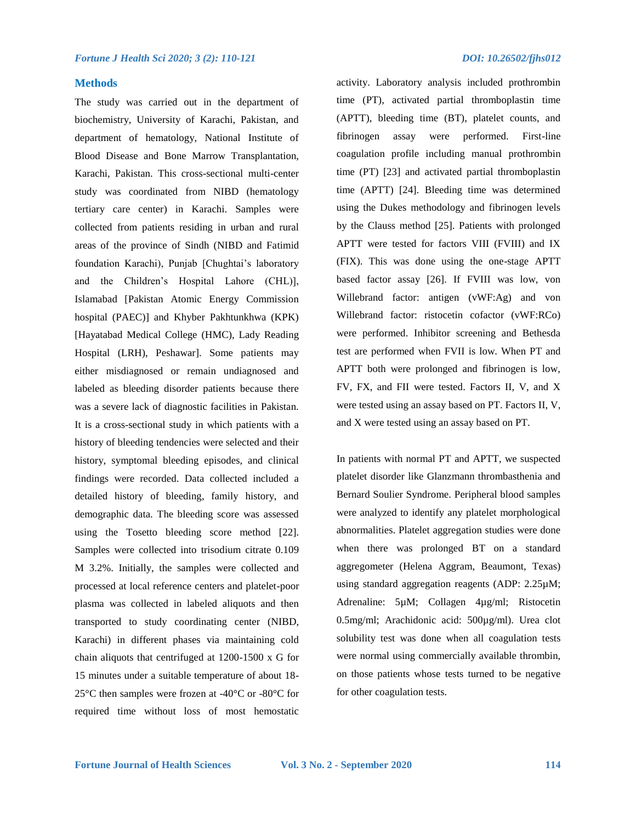#### **Methods**

The study was carried out in the department of biochemistry, University of Karachi, Pakistan, and department of hematology, National Institute of Blood Disease and Bone Marrow Transplantation, Karachi, Pakistan. This cross-sectional multi-center study was coordinated from NIBD (hematology tertiary care center) in Karachi. Samples were collected from patients residing in urban and rural areas of the province of Sindh (NIBD and Fatimid foundation Karachi), Punjab [Chughtai's laboratory and the Children's Hospital Lahore (CHL)], Islamabad [Pakistan Atomic Energy Commission hospital (PAEC)] and Khyber Pakhtunkhwa (KPK) [Hayatabad Medical College (HMC), Lady Reading Hospital (LRH), Peshawar]. Some patients may either misdiagnosed or remain undiagnosed and labeled as bleeding disorder patients because there was a severe lack of diagnostic facilities in Pakistan. It is a cross-sectional study in which patients with a history of bleeding tendencies were selected and their history, symptomal bleeding episodes, and clinical findings were recorded. Data collected included a detailed history of bleeding, family history, and demographic data. The bleeding score was assessed using the Tosetto bleeding score method [22]. Samples were collected into trisodium citrate 0.109 M 3.2%. Initially, the samples were collected and processed at local reference centers and platelet-poor plasma was collected in labeled aliquots and then transported to study coordinating center (NIBD, Karachi) in different phases via maintaining cold chain aliquots that centrifuged at 1200-1500 x G for 15 minutes under a suitable temperature of about 18- 25°C then samples were frozen at -40°C or -80°C for required time without loss of most hemostatic activity. Laboratory analysis included prothrombin time (PT), activated partial thromboplastin time (APTT), bleeding time (BT), platelet counts, and fibrinogen assay were performed. First-line coagulation profile including manual prothrombin time (PT) [23] and activated partial thromboplastin time (APTT) [24]. Bleeding time was determined using the Dukes methodology and fibrinogen levels by the Clauss method [25]. Patients with prolonged APTT were tested for factors VIII (FVIII) and IX (FIX). This was done using the one-stage APTT based factor assay [26]. If FVIII was low, von Willebrand factor: antigen (vWF:Ag) and von Willebrand factor: ristocetin cofactor (vWF:RCo) were performed. Inhibitor screening and Bethesda test are performed when FVII is low. When PT and APTT both were prolonged and fibrinogen is low, FV, FX, and FII were tested. Factors II, V, and X were tested using an assay based on PT. Factors II, V, and X were tested using an assay based on PT.

In patients with normal PT and APTT, we suspected platelet disorder like Glanzmann thrombasthenia and Bernard Soulier Syndrome. Peripheral blood samples were analyzed to identify any platelet morphological abnormalities. Platelet aggregation studies were done when there was prolonged BT on a standard aggregometer (Helena Aggram, Beaumont, Texas) using standard aggregation reagents (ADP: 2.25µM; Adrenaline: 5µM; Collagen 4µg/ml; Ristocetin 0.5mg/ml; Arachidonic acid: 500µg/ml). Urea clot solubility test was done when all coagulation tests were normal using commercially available thrombin, on those patients whose tests turned to be negative for other coagulation tests.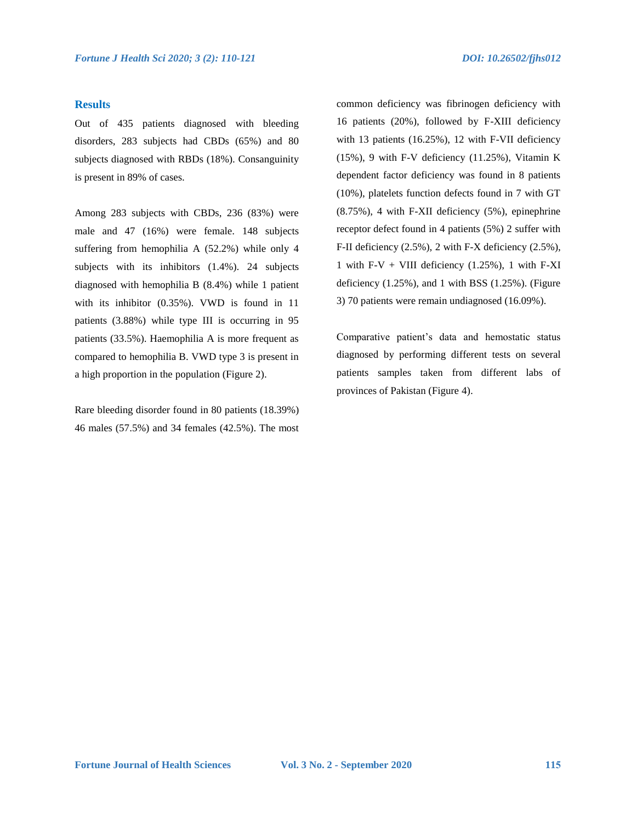#### **Results**

Out of 435 patients diagnosed with bleeding disorders, 283 subjects had CBDs (65%) and 80 subjects diagnosed with RBDs (18%). Consanguinity is present in 89% of cases.

Among 283 subjects with CBDs, 236 (83%) were male and 47 (16%) were female. 148 subjects suffering from hemophilia A (52.2%) while only 4 subjects with its inhibitors (1.4%). 24 subjects diagnosed with hemophilia B (8.4%) while 1 patient with its inhibitor (0.35%). VWD is found in 11 patients (3.88%) while type III is occurring in 95 patients (33.5%). Haemophilia A is more frequent as compared to hemophilia B. VWD type 3 is present in a high proportion in the population (Figure 2).

Rare bleeding disorder found in 80 patients (18.39%) 46 males (57.5%) and 34 females (42.5%). The most common deficiency was fibrinogen deficiency with 16 patients (20%), followed by F-XIII deficiency with 13 patients (16.25%), 12 with F-VII deficiency (15%), 9 with F-V deficiency (11.25%), Vitamin K dependent factor deficiency was found in 8 patients (10%), platelets function defects found in 7 with GT (8.75%), 4 with F-XII deficiency (5%), epinephrine receptor defect found in 4 patients (5%) 2 suffer with F-II deficiency (2.5%), 2 with F-X deficiency (2.5%), 1 with F-V + VIII deficiency  $(1.25\%)$ , 1 with F-XI deficiency  $(1.25\%)$ , and 1 with BSS  $(1.25\%)$ . (Figure 3) 70 patients were remain undiagnosed (16.09%).

Comparative patient's data and hemostatic status diagnosed by performing different tests on several patients samples taken from different labs of provinces of Pakistan (Figure 4).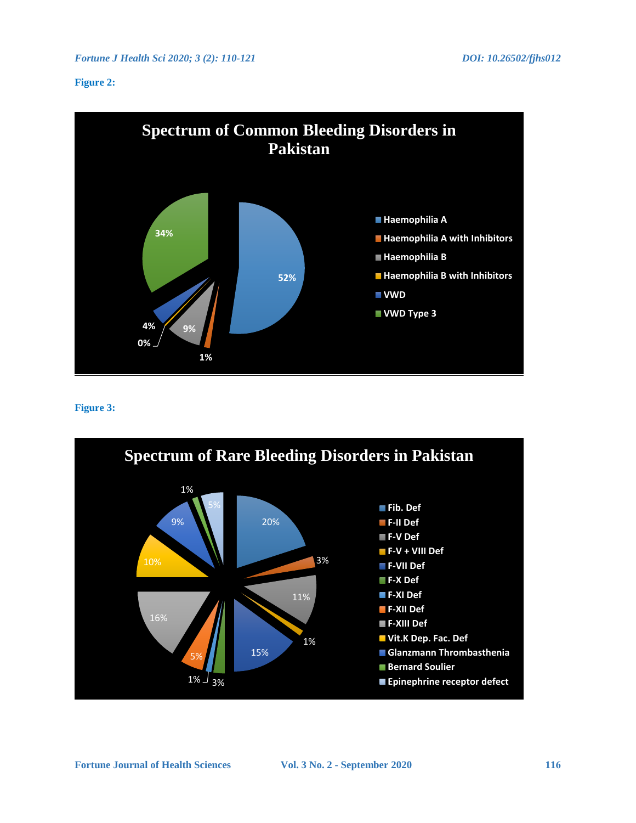## **Figure 2:**



## **Figure 3:**

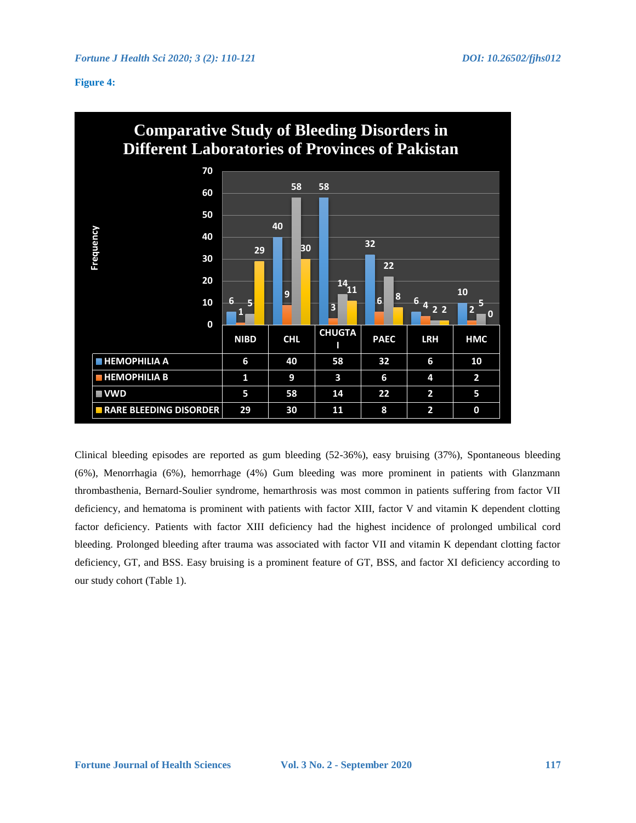## **Figure 4:**



Clinical bleeding episodes are reported as gum bleeding (52-36%), easy bruising (37%), Spontaneous bleeding (6%), Menorrhagia (6%), hemorrhage (4%) Gum bleeding was more prominent in patients with Glanzmann thrombasthenia, Bernard-Soulier syndrome, hemarthrosis was most common in patients suffering from factor VII deficiency, and hematoma is prominent with patients with factor XIII, factor V and vitamin K dependent clotting factor deficiency. Patients with factor XIII deficiency had the highest incidence of prolonged umbilical cord bleeding. Prolonged bleeding after trauma was associated with factor VII and vitamin K dependant clotting factor deficiency, GT, and BSS. Easy bruising is a prominent feature of GT, BSS, and factor XI deficiency according to our study cohort (Table 1).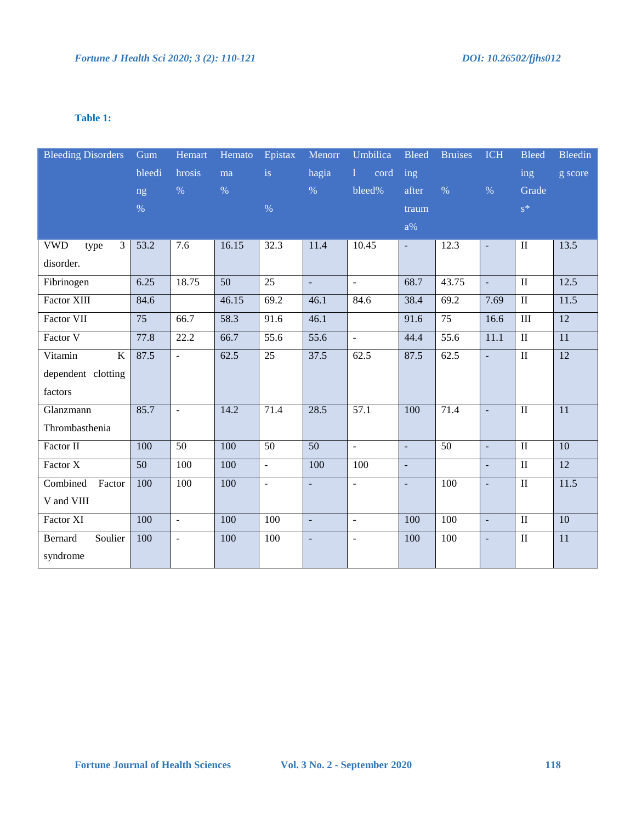## **Table 1:**

| <b>Bleeding Disorders</b> | Gum           | Hemart          | Hemato | Epistax                | Menorr          | Umbilica                                 | <b>Bleed</b>             | <b>Bruises</b>    | <b>ICH</b>               | <b>Bleed</b>            | <b>Bleedin</b>  |
|---------------------------|---------------|-----------------|--------|------------------------|-----------------|------------------------------------------|--------------------------|-------------------|--------------------------|-------------------------|-----------------|
|                           | bleedi        | hrosis          | ma     | $\mathrm{i}\mathbf{s}$ | hagia           | $\mathbf{1}$<br>$\overline{\text{cord}}$ | ing                      |                   |                          | ing                     | g score         |
|                           | ng            | $\%$            | $\%$   |                        | $\%$            | bleed%                                   | after                    | $\%$              | $\%$                     | Grade                   |                 |
|                           | $\frac{0}{6}$ |                 |        | $\%$                   |                 |                                          | traum                    |                   |                          | $s^*$                   |                 |
|                           |               |                 |        |                        |                 |                                          | $a\%$                    |                   |                          |                         |                 |
| <b>VWD</b><br>3<br>type   | 53.2          | 7.6             | 16.15  | 32.3                   | 11.4            | 10.45                                    | $\overline{\phantom{a}}$ | 12.3              | $\overline{\phantom{a}}$ | $\rm II$                | 13.5            |
| disorder.                 |               |                 |        |                        |                 |                                          |                          |                   |                          |                         |                 |
| Fibrinogen                | 6.25          | 18.75           | 50     | $\overline{25}$        | $\Box$          | $\overline{\phantom{a}}$                 | 68.7                     | 43.75             | $\Box$                   | $\rm II$                | 12.5            |
| <b>Factor XIII</b>        | 84.6          |                 | 46.15  | 69.2                   | 46.1            | 84.6                                     | 38.4                     | 69.2              | 7.69                     | $\rm II$                | 11.5            |
| Factor VII                | 75            | 66.7            | 58.3   | 91.6                   | 46.1            |                                          | 91.6                     | $\overline{75}$   | 16.6                     | $\rm III$               | 12              |
| Factor V                  | 77.8          | 22.2            | 66.7   | 55.6                   | 55.6            | $\mathbb{Z}^2$                           | 44.4                     | $\overline{55.6}$ | 11.1                     | $\overline{\mathbf{u}}$ | $\overline{11}$ |
| Vitamin<br>$\bf K$        | 87.5          | ÷.              | 62.5   | $\overline{25}$        | 37.5            | 62.5                                     | 87.5                     | 62.5              | ÷,                       | $\overline{\mathbf{I}}$ | 12              |
| dependent clotting        |               |                 |        |                        |                 |                                          |                          |                   |                          |                         |                 |
| factors                   |               |                 |        |                        |                 |                                          |                          |                   |                          |                         |                 |
| Glanzmann                 | 85.7          | $\blacksquare$  | 14.2   | 71.4                   | 28.5            | 57.1                                     | 100                      | 71.4              | $\Box$                   | $\rm II$                | 11              |
| Thrombasthenia            |               |                 |        |                        |                 |                                          |                          |                   |                          |                         |                 |
| Factor II                 | 100           | $\overline{50}$ | 100    | $\overline{50}$        | $\overline{50}$ | $\overline{\phantom{a}}$                 | $\mathbb{L}$             | $\overline{50}$   | $\Box$                   | $\overline{\mathbf{u}}$ | 10              |
| Factor X                  | 50            | 100             | 100    | $\Box$                 | 100             | 100                                      | $\equiv$                 |                   | $\Box$                   | $\rm II$                | 12              |
| Combined<br>Factor        | 100           | 100             | 100    | $\equiv$               | $\equiv$        | $\overline{a}$                           | $\Box$                   | 100               | L,                       | $\overline{\mathbf{u}}$ | 11.5            |
| V and VIII                |               |                 |        |                        |                 |                                          |                          |                   |                          |                         |                 |
| Factor XI                 | 100           | $\mathbf{r}$    | 100    | 100                    | $\Box$          | $\frac{1}{2}$                            | 100                      | 100               | $\Box$                   | $\rm II$                | 10              |
| Bernard<br>Soulier        | 100           | $\overline{a}$  | 100    | 100                    | $\equiv$        | $\frac{1}{2}$                            | 100                      | 100               | $\Box$                   | $\rm II$                | 11              |
| syndrome                  |               |                 |        |                        |                 |                                          |                          |                   |                          |                         |                 |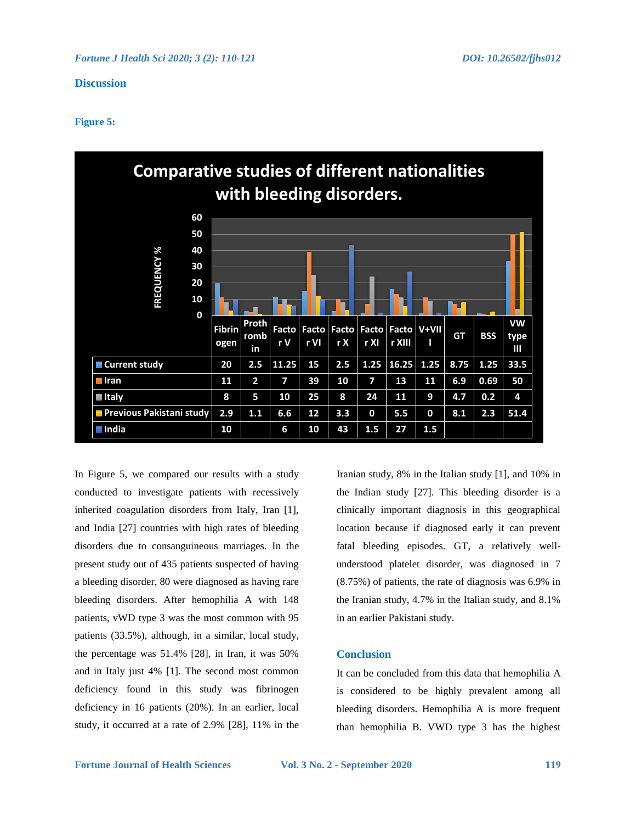## **Discussion**

## **Figure 5:**



In Figure 5, we compared our results with a study conducted to investigate patients with recessively inherited coagulation disorders from Italy, Iran [1], and India [27] countries with high rates of bleeding disorders due to consanguineous marriages. In the present study out of 435 patients suspected of having a bleeding disorder, 80 were diagnosed as having rare bleeding disorders. After hemophilia A with 148 patients, vWD type 3 was the most common with 95 patients (33.5%), although, in a similar, local study, the percentage was 51.4% [28], in Iran, it was 50% and in Italy just 4% [1]. The second most common deficiency found in this study was fibrinogen deficiency in 16 patients (20%). In an earlier, local study, it occurred at a rate of 2.9% [28], 11% in the Iranian study, 8% in the Italian study [1], and 10% in the Indian study [27]. This bleeding disorder is a clinically important diagnosis in this geographical location because if diagnosed early it can prevent fatal bleeding episodes. GT, a relatively wellunderstood platelet disorder, was diagnosed in 7 (8.75%) of patients, the rate of diagnosis was 6.9% in the Iranian study, 4.7% in the Italian study, and 8.1% in an earlier Pakistani study.

## **Conclusion**

It can be concluded from this data that hemophilia A is considered to be highly prevalent among all bleeding disorders. Hemophilia A is more frequent than hemophilia B. VWD type 3 has the highest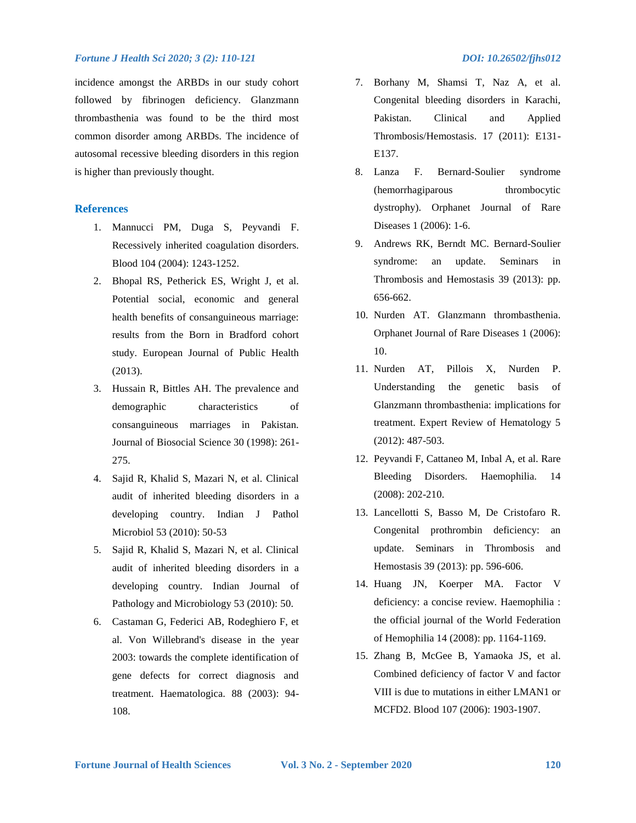#### *Fortune J Health Sci 2020; 3 (2): 110-121 DOI: 10.26502/fjhs012*

incidence amongst the ARBDs in our study cohort followed by fibrinogen deficiency. Glanzmann thrombasthenia was found to be the third most common disorder among ARBDs. The incidence of autosomal recessive bleeding disorders in this region is higher than previously thought.

## **References**

- 1. Mannucci PM, Duga S, Peyvandi F. Recessively inherited coagulation disorders. Blood 104 (2004): 1243-1252.
- 2. Bhopal RS, Petherick ES, Wright J, et al. Potential social, economic and general health benefits of consanguineous marriage: results from the Born in Bradford cohort study. European Journal of Public Health (2013).
- 3. Hussain R, Bittles AH. The prevalence and demographic characteristics of consanguineous marriages in Pakistan. Journal of Biosocial Science 30 (1998): 261- 275.
- 4. Sajid R, Khalid S, Mazari N, et al. Clinical audit of inherited bleeding disorders in a developing country. Indian J Pathol Microbiol 53 (2010): 50-53
- 5. Sajid R, Khalid S, Mazari N, et al. Clinical audit of inherited bleeding disorders in a developing country. Indian Journal of Pathology and Microbiology 53 (2010): 50.
- 6. Castaman G, Federici AB, Rodeghiero F, et al. Von Willebrand's disease in the year 2003: towards the complete identification of gene defects for correct diagnosis and treatment. Haematologica. 88 (2003): 94- 108.
- 7. Borhany M, Shamsi T, Naz A, et al. Congenital bleeding disorders in Karachi, Pakistan. Clinical and Applied Thrombosis/Hemostasis. 17 (2011): E131- E137.
- 8. Lanza F. Bernard-Soulier syndrome (hemorrhagiparous thrombocytic dystrophy). Orphanet Journal of Rare Diseases 1 (2006): 1-6.
- 9. Andrews RK, Berndt MC. Bernard-Soulier syndrome: an update. Seminars in Thrombosis and Hemostasis 39 (2013): pp. 656-662.
- 10. Nurden AT. Glanzmann thrombasthenia. Orphanet Journal of Rare Diseases 1 (2006): 10.
- 11. Nurden AT, Pillois X, Nurden P. Understanding the genetic basis of Glanzmann thrombasthenia: implications for treatment. Expert Review of Hematology 5 (2012): 487-503.
- 12. Peyvandi F, Cattaneo M, Inbal A, et al. Rare Bleeding Disorders. Haemophilia. 14 (2008): 202-210.
- 13. Lancellotti S, Basso M, De Cristofaro R. Congenital prothrombin deficiency: an update. Seminars in Thrombosis and Hemostasis 39 (2013): pp. 596-606.
- 14. Huang JN, Koerper MA. Factor V deficiency: a concise review. Haemophilia : the official journal of the World Federation of Hemophilia 14 (2008): pp. 1164-1169.
- 15. Zhang B, McGee B, Yamaoka JS, et al. Combined deficiency of factor V and factor VIII is due to mutations in either LMAN1 or MCFD2. Blood 107 (2006): 1903-1907.